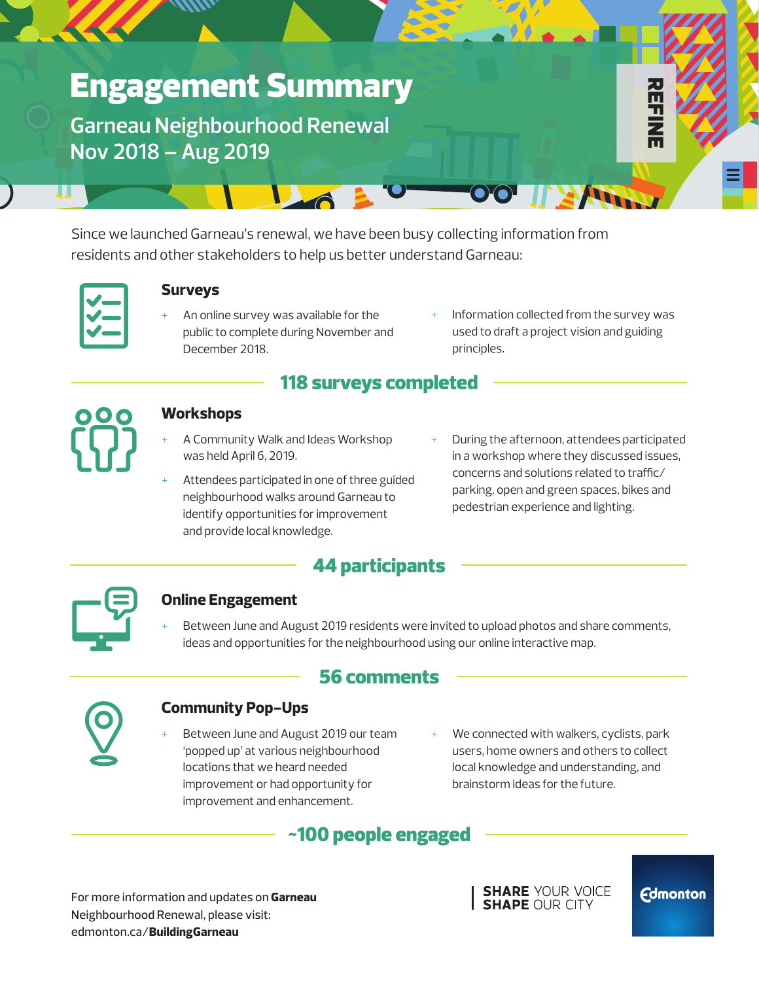# Engagement Summary

**Garneau Neighbourhood Renewal Nov 2018 – Aug 2019**

Since we launched Garneau's renewal, we have been busy collecting information from residents and other stakeholders to help us better understand Garneau:

 $L_{\odot}$ 

|--|

#### **Surveys**

- An online survey was available for the public to complete during November and December 2018.
- Information collected from the survey was used to draft a project vision and guiding principles.

R<br>H<br>H<br>H<br>H

### 118 surveys completed



#### **Workshops**

- A Community Walk and Ideas Workshop was held April 6, 2019.
- Attendees participated in one of three guided neighbourhood walks around Garneau to identify opportunities for improvement and provide local knowledge.
- During the afternoon, attendees participated in a workshop where they discussed issues, concerns and solutions related to traffic/ parking, open and green spaces, bikes and pedestrian experience and lighting.



Between June and August 2019 residents were invited to upload photos and share comments, ideas and opportunities for the neighbourhood using our online interactive map.

### 56 comments



#### **Community Pop-Ups**

- Between June and August 2019 our team 'popped up' at various neighbourhood locations that we heard needed improvement or had opportunity for improvement and enhancement.
- We connected with walkers, cyclists, park users, home owners and others to collect local knowledge and understanding, and brainstorm ideas for the future.

### ~100 people engaged

For more information and updates on **Garneau**  Neighbourhood Renewal, please visit: edmonton.ca/**BuildingGarneau**

**SHARE YOUR VOICE SHAPE OUR CITY** 

**Edmonton**